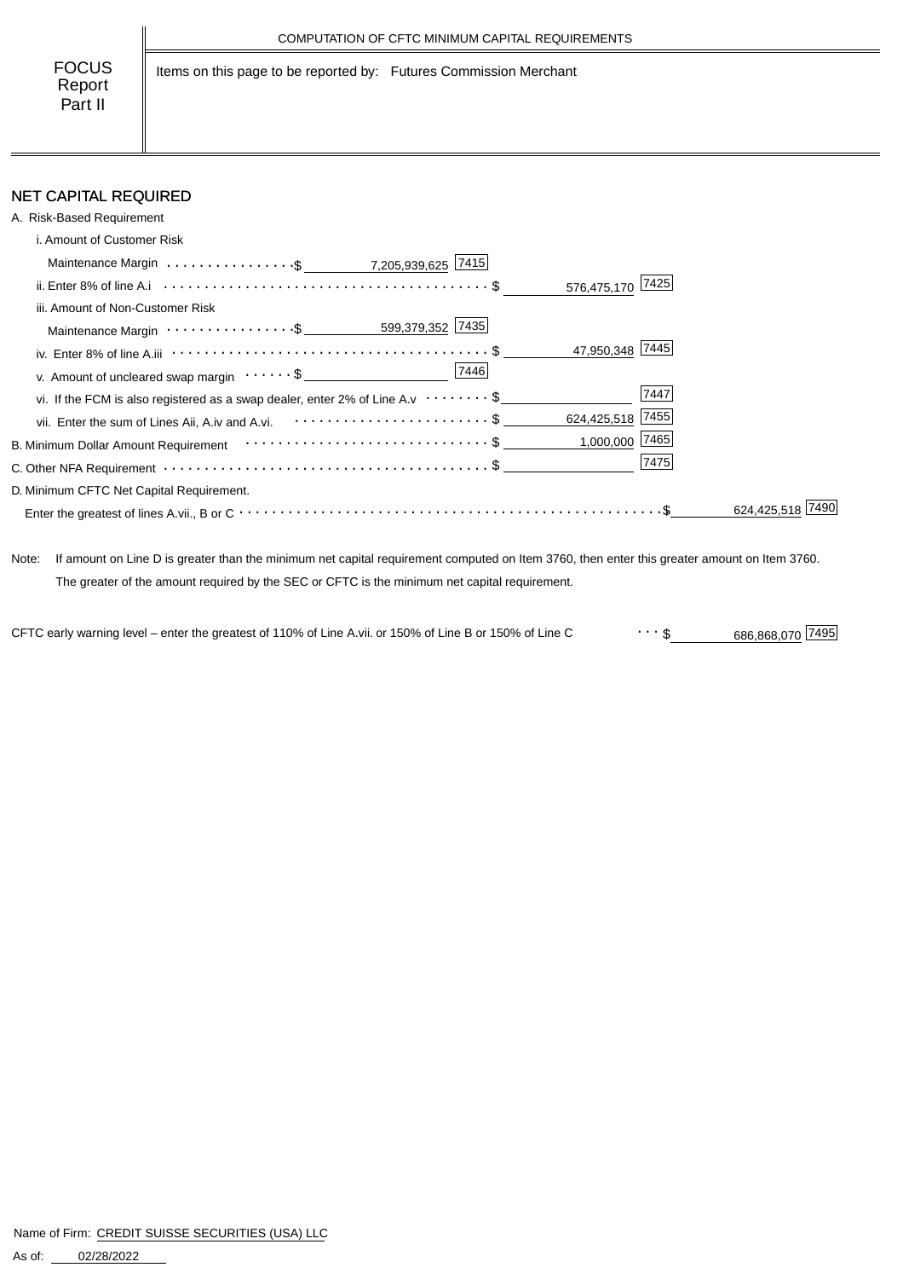Items on this page to be reported by: Futures Commission Merchant

### NET CAPITAL REQUIRED

| A. Risk-Based Requirement                                                                         |                |
|---------------------------------------------------------------------------------------------------|----------------|
| i. Amount of Customer Risk                                                                        |                |
| Maintenance Margin $\ldots \ldots \ldots \ldots \cdot$ \$ ____________7,205,939,625 7415          |                |
| 576,475,170 7425                                                                                  |                |
| iii. Amount of Non-Customer Risk                                                                  |                |
|                                                                                                   |                |
| 47,950,348 7445                                                                                   |                |
| 7446<br>v. Amount of uncleared swap margin $\dots \dots \$                                        |                |
| vi. If the FCM is also registered as a swap dealer, enter 2% of Line A.v $\cdots \cdots \cdot$ \$ | 7447           |
| 624,425,518 7455<br>vii. Enter the sum of Lines Aii, A.iv and A.vi. \$                            |                |
|                                                                                                   | 1,000,000 7465 |
|                                                                                                   | 7475           |
| D. Minimum CFTC Net Capital Requirement.                                                          |                |
|                                                                                                   | 624.425.518    |

Note: If amount on Line D is greater than the minimum net capital requirement computed on Item 3760, then enter this greater amount on Item 3760. The greater of the amount required by the SEC or CFTC is the minimum net capital requirement.

CFTC early warning level – enter the greatest of 110% of Line A.vii. or 150% of Line B or 150% of Line C  $\cdots$  \$ 686,868,070 7495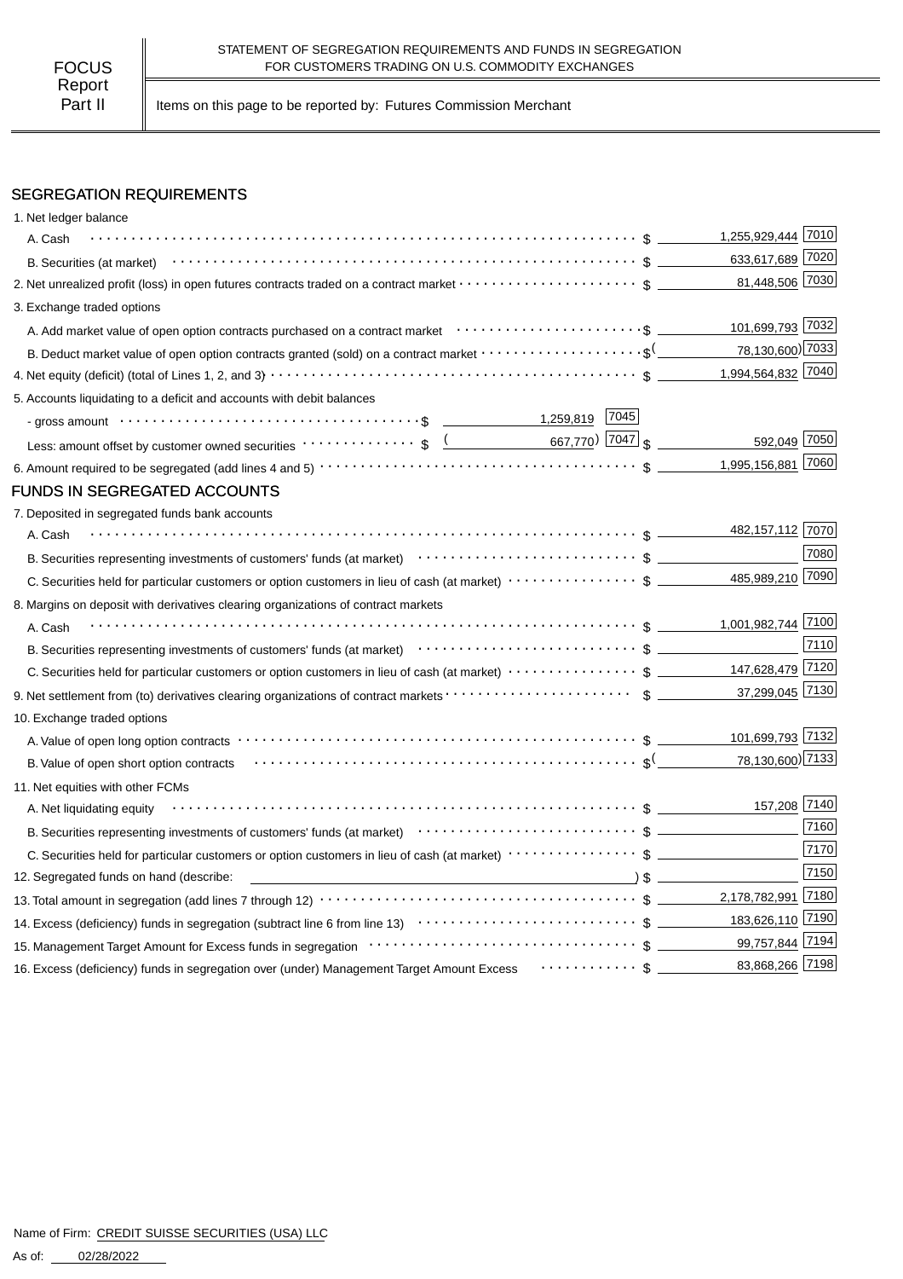Part II | Items on this page to be reported by: Futures Commission Merchant

#### SEGREGATION REQUIREMENTS

| 1. Net ledger balance                                                                                                                                                                                                                                                                                      |                    |              |
|------------------------------------------------------------------------------------------------------------------------------------------------------------------------------------------------------------------------------------------------------------------------------------------------------------|--------------------|--------------|
| A. Cash                                                                                                                                                                                                                                                                                                    | 1,255,929,444 7010 |              |
|                                                                                                                                                                                                                                                                                                            | 633,617,689 7020   |              |
| 2. Net unrealized profit (loss) in open futures contracts traded on a contract market $\cdots\cdots\cdots\cdots\cdots\cdots\cdots$ \$                                                                                                                                                                      | 81,448,506 7030    |              |
| 3. Exchange traded options                                                                                                                                                                                                                                                                                 |                    |              |
|                                                                                                                                                                                                                                                                                                            | 101,699,793 7032   |              |
| B. Deduct market value of open option contracts granted (sold) on a contract market $\cdots\cdots\cdots\cdots\cdots\cdots$                                                                                                                                                                                 | 78,130,600) 7033   |              |
|                                                                                                                                                                                                                                                                                                            | 1,994,564,832 7040 |              |
| 5. Accounts liquidating to a deficit and accounts with debit balances                                                                                                                                                                                                                                      |                    |              |
| 7045                                                                                                                                                                                                                                                                                                       |                    |              |
| Less: amount offset by customer owned securities $\cdots \cdots \cdots \cdots$ \$ $\underbrace{($ 667,770) 7047 $\brace{ }$                                                                                                                                                                                |                    | 592,049 7050 |
|                                                                                                                                                                                                                                                                                                            | 1,995,156,881 7060 |              |
| FUNDS IN SEGREGATED ACCOUNTS                                                                                                                                                                                                                                                                               |                    |              |
| 7. Deposited in segregated funds bank accounts                                                                                                                                                                                                                                                             |                    |              |
| A. Cash                                                                                                                                                                                                                                                                                                    | 482,157,112 7070   |              |
| B. Securities representing investments of customers' funds (at market)<br>$\cdots$ $\cdots$ $\cdots$ $\uparrow$                                                                                                                                                                                            |                    | 7080         |
|                                                                                                                                                                                                                                                                                                            | 485,989,210 7090   |              |
| 8. Margins on deposit with derivatives clearing organizations of contract markets                                                                                                                                                                                                                          |                    |              |
| A. Cash                                                                                                                                                                                                                                                                                                    | 1,001,982,744 7100 |              |
|                                                                                                                                                                                                                                                                                                            |                    | 7110         |
| C. Securities held for particular customers or option customers in lieu of cash (at market) $\cdots \cdots \cdots \cdots$ \$ _________147,628,479 7120                                                                                                                                                     |                    |              |
|                                                                                                                                                                                                                                                                                                            | 37,299,045 7130    |              |
| 10. Exchange traded options                                                                                                                                                                                                                                                                                |                    |              |
|                                                                                                                                                                                                                                                                                                            | 101,699,793 7132   |              |
| B. Value of open short option contracts with the contract of the contract of the contract of the state of the state of $\mathcal{S}$                                                                                                                                                                       | 78,130,600) 7133   |              |
| 11. Net equities with other FCMs                                                                                                                                                                                                                                                                           |                    |              |
| A. Net liquidating equity                                                                                                                                                                                                                                                                                  |                    | 157,208 7140 |
| B. Securities representing investments of customers' funds (at market)<br>$\cdots$ $\cdots$ $\cdots$ $\cdots$ $\cdots$ $\cdots$ $\cdots$ $\cdots$ $\cdots$ $\cdots$ $\cdots$ $\cdots$ $\cdots$ $\cdots$ $\cdots$ $\cdots$ $\cdots$ $\cdots$ $\cdots$ $\cdots$ $\cdots$ $\cdots$ $\cdots$ $\cdots$ $\cdots$ |                    | 7160         |
|                                                                                                                                                                                                                                                                                                            |                    | 7170         |
| 12. Segregated funds on hand (describe:                                                                                                                                                                                                                                                                    |                    | 7150         |
|                                                                                                                                                                                                                                                                                                            |                    |              |
|                                                                                                                                                                                                                                                                                                            |                    |              |
|                                                                                                                                                                                                                                                                                                            |                    |              |
| 16. Excess (deficiency) funds in segregation over (under) Management Target Amount Excess Framment S                                                                                                                                                                                                       | 83,868,266 7198    |              |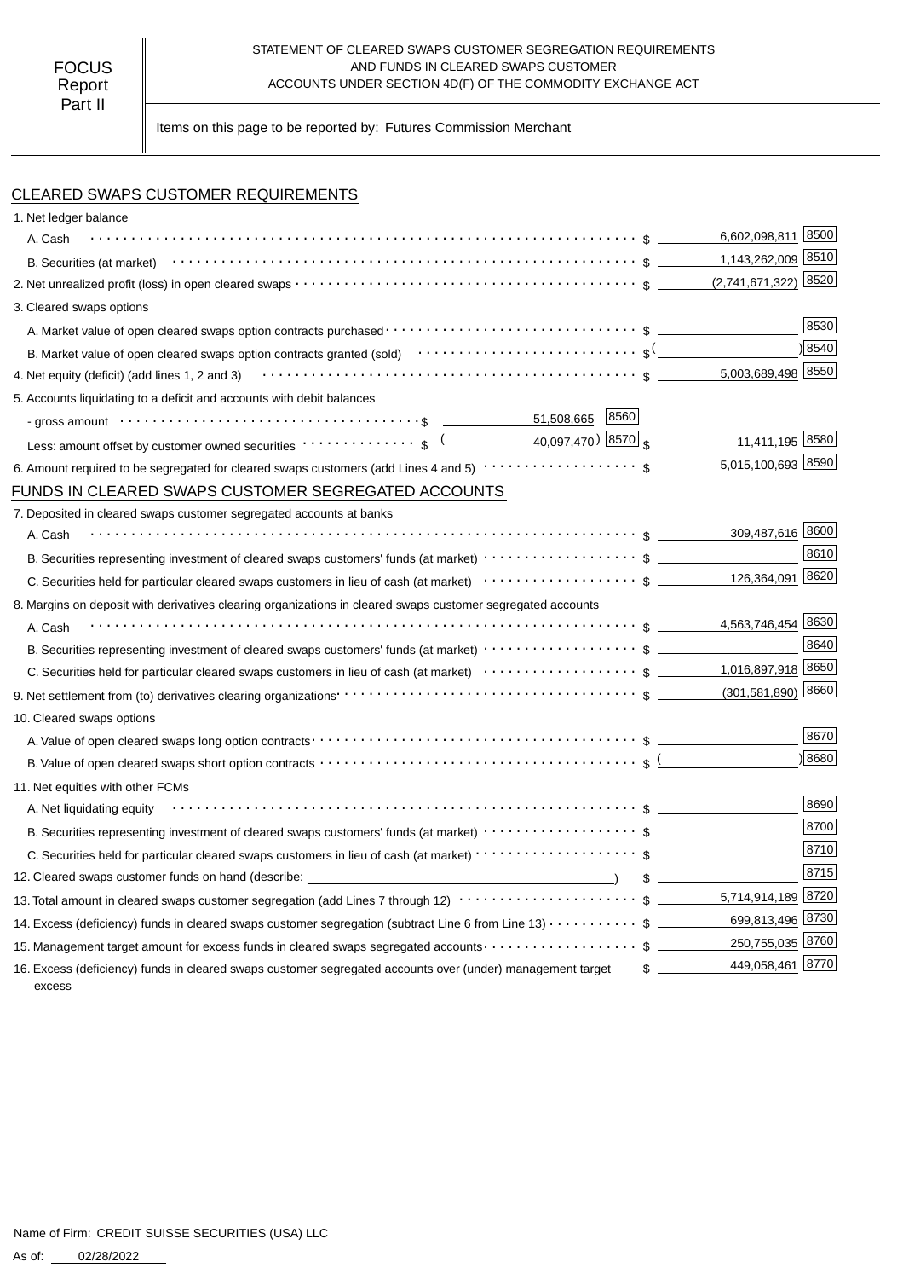#### STATEMENT OF CLEARED SWAPS CUSTOMER SEGREGATION REQUIREMENTS FOCUS TO CUS AND FUNDS IN CLEARED SWAPS CUSTOMER<br>Report **ACCOUNTS UNDER SECTION 4D(F)** OF THE COMMODITY EX ACCOUNTS UNDER SECTION 4D(F) OF THE COMMODITY EXCHANGE ACT

Items on this page to be reported by: Futures Commission Merchant

#### CLEARED SWAPS CUSTOMER REQUIREMENTS

| 1. Net ledger balance                                                                                                                                                                                                          |                    |               |
|--------------------------------------------------------------------------------------------------------------------------------------------------------------------------------------------------------------------------------|--------------------|---------------|
| A. Cash                                                                                                                                                                                                                        | 6,602,098,811 8500 |               |
|                                                                                                                                                                                                                                | 1,143,262,009 8510 |               |
|                                                                                                                                                                                                                                |                    | 8520          |
| 3. Cleared swaps options                                                                                                                                                                                                       |                    |               |
|                                                                                                                                                                                                                                |                    | 8530          |
| B. Market value of open cleared swaps option contracts granted (sold) $\cdots\cdots\cdots\cdots\cdots\cdots\cdots\cdots$ \$ <sup>(</sup>                                                                                       |                    | $\sqrt{8540}$ |
| 4. Net equity (deficit) (add lines 1, 2 and 3) $\cdots$ $\cdots$ $\cdots$ $\cdots$ $\cdots$ $\cdots$ $\cdots$ $\cdots$ $\cdots$ $\cdots$ $\cdots$ $\cdots$ $\cdots$ $\cdots$ $\cdots$ $\cdots$                                 | 5,003,689,498 8550 |               |
| 5. Accounts liquidating to a deficit and accounts with debit balances                                                                                                                                                          |                    |               |
| - gross amount \bit \\contract \contract \contract \contract \contract \contract \contract \contract \contract \contract \contract \contract \contract \contract \contract \contract \contract \contract \contract \contract \ |                    |               |
|                                                                                                                                                                                                                                | 11,411,195 8580    |               |
|                                                                                                                                                                                                                                | 5,015,100,693 8590 |               |
| FUNDS IN CLEARED SWAPS CUSTOMER SEGREGATED ACCOUNTS                                                                                                                                                                            |                    |               |
| 7. Deposited in cleared swaps customer segregated accounts at banks                                                                                                                                                            |                    |               |
| A. Cash                                                                                                                                                                                                                        | 309,487,616 8600   |               |
|                                                                                                                                                                                                                                |                    | 8610          |
|                                                                                                                                                                                                                                | 126,364,091 8620   |               |
| 8. Margins on deposit with derivatives clearing organizations in cleared swaps customer segregated accounts                                                                                                                    |                    |               |
| A. Cash                                                                                                                                                                                                                        | 4,563,746,454 8630 |               |
|                                                                                                                                                                                                                                |                    | 8640          |
|                                                                                                                                                                                                                                |                    |               |
|                                                                                                                                                                                                                                |                    |               |
| 10. Cleared swaps options                                                                                                                                                                                                      |                    |               |
|                                                                                                                                                                                                                                |                    | 8670          |
| B. Value of open cleared swaps short option contracts $\cdots\cdots\cdots\cdots\cdots\cdots\cdots\cdots\cdots\cdots\cdots\cdots$ \$                                                                                            |                    | 8680          |
| 11. Net equities with other FCMs                                                                                                                                                                                               |                    |               |
| A. Net liquidating equity                                                                                                                                                                                                      |                    | 8690          |
| B. Securities representing investment of cleared swaps customers' funds (at market) $\cdots\cdots\cdots\cdots\cdots\cdots$ \$                                                                                                  |                    | 8700          |
|                                                                                                                                                                                                                                |                    | 8710          |
| 12. Cleared swaps customer funds on hand (describe: \\efficient \\efficient \\efficient \\efficient \\efficient \\efficient \\efficient \\efficient \\efficient \\efficient \\efficient \\efficient \\efficient \\efficient \\ | $\frac{1}{2}$      | 8715          |
| 13. Total amount in cleared swaps customer segregation (add Lines 7 through 12) $\cdots\cdots\cdots\cdots\cdots\cdots\cdots\cdots$ \$ _________5,714,914,189 8720                                                              |                    |               |
| 14. Excess (deficiency) funds in cleared swaps customer segregation (subtract Line 6 from Line 13) \$                                                                                                                          | 699,813,496 8730   |               |
| 15. Management target amount for excess funds in cleared swaps segregated accounts \$                                                                                                                                          | 250,755,035 8760   |               |
| 16. Excess (deficiency) funds in cleared swaps customer segregated accounts over (under) management target<br>excess                                                                                                           | 449,058,461 8770   |               |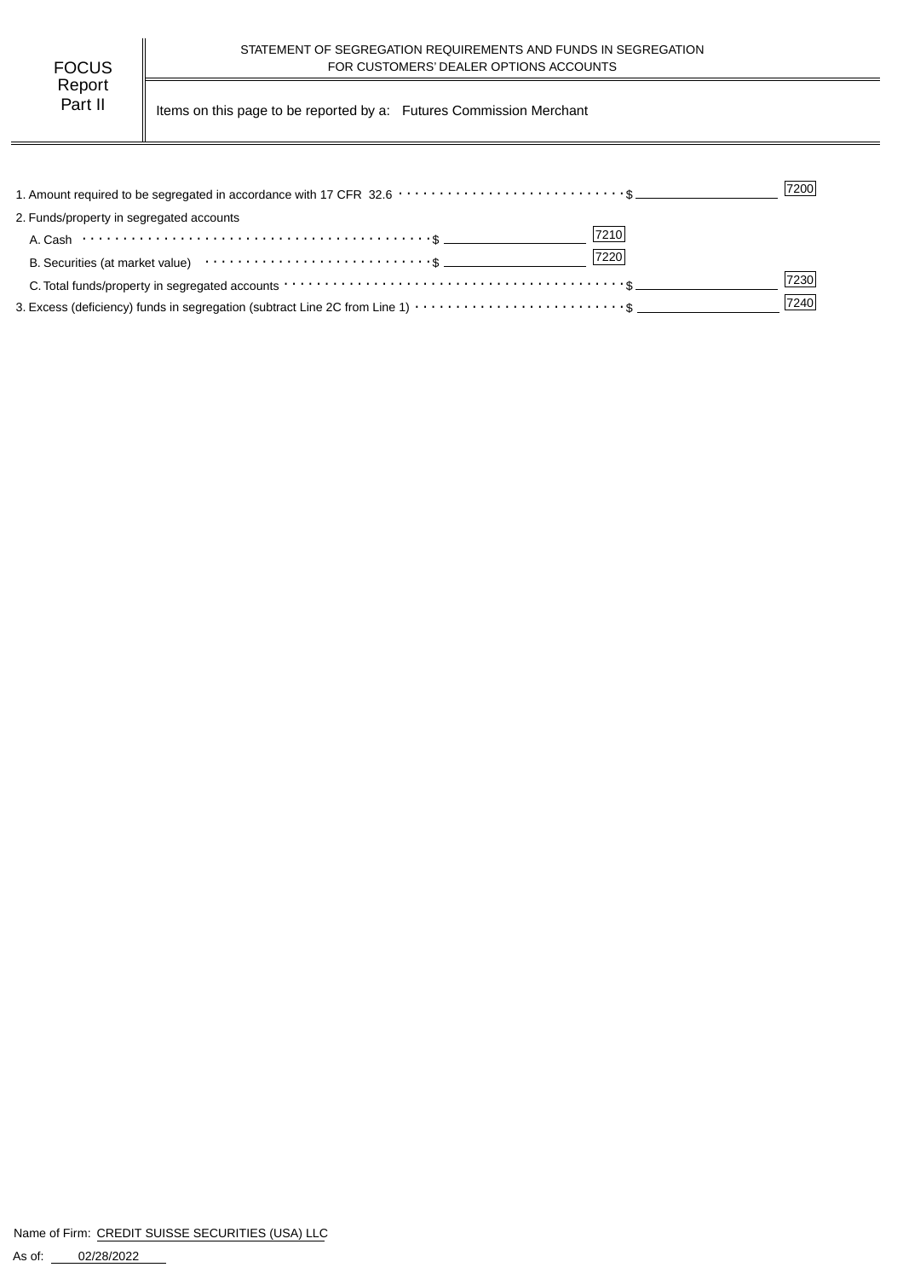| FOCUS   |  |
|---------|--|
| Report  |  |
| Part II |  |

Items on this page to be reported by a: Futures Commission Merchant

|                                                                                                                                                                 | 7200 |
|-----------------------------------------------------------------------------------------------------------------------------------------------------------------|------|
| 2. Funds/property in segregated accounts                                                                                                                        |      |
| 7210<br>A. Cash $\cdots$ $\cdots$ $\cdots$ $\cdots$ $\cdots$ $\cdots$ $\cdots$ $\cdots$ $\cdots$ $\cdots$ $\cdots$ $\cdots$ $\cdots$ $\cdots$ $\cdots$ $\cdots$ |      |
| 7220                                                                                                                                                            |      |
|                                                                                                                                                                 | 7230 |
|                                                                                                                                                                 | 7240 |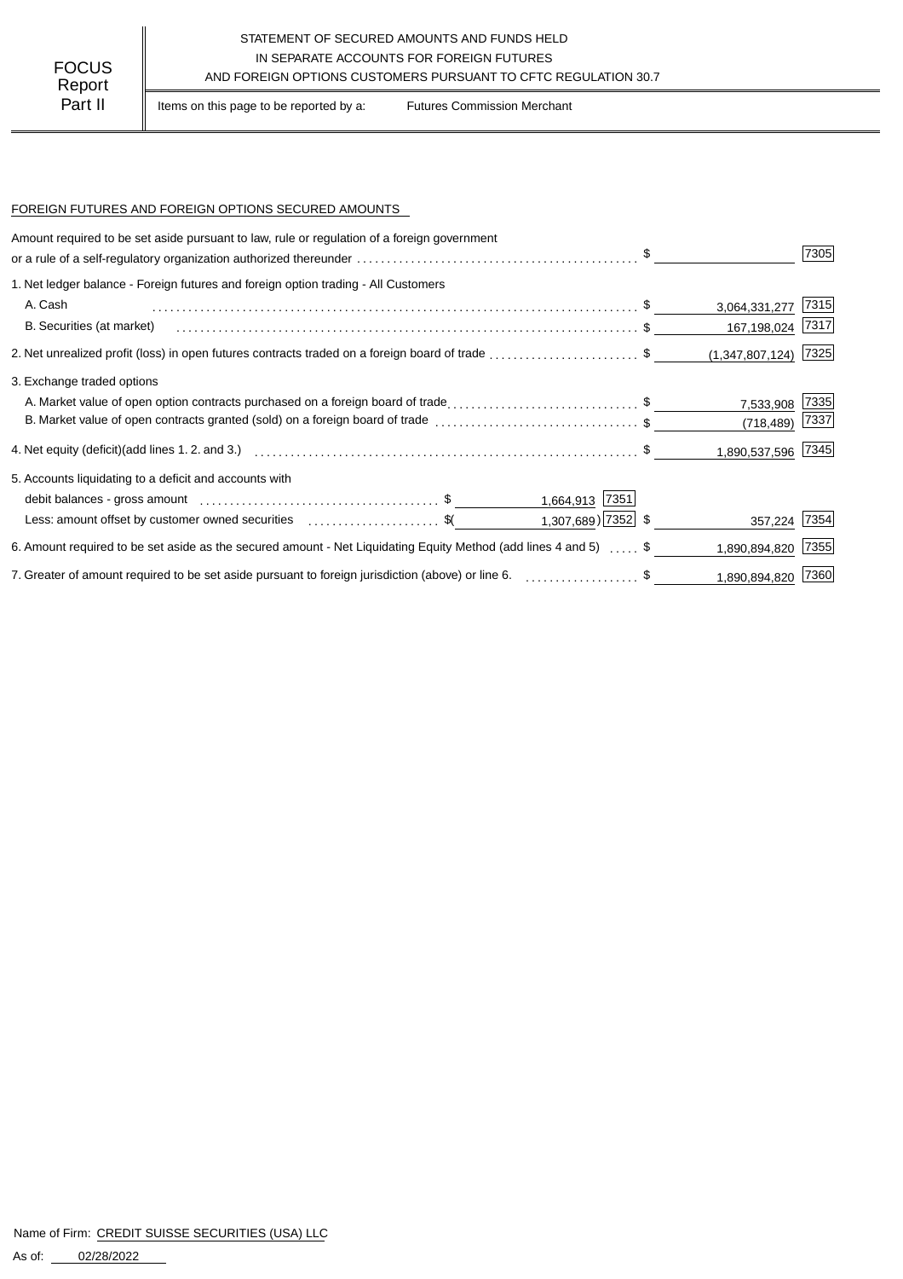## STATEMENT OF SECURED AMOUNTS AND FUNDS HELD IN SEPARATE ACCOUNTS FOR FOREIGN FUTURES<br>
Report AND FOREIGN OPTIONS CUSTOMERS PURSUANT TO CFTC REGULATION 30.7

Part II | Items on this page to be reported by a: Futures Commission Merchant

#### FOREIGN FUTURES AND FOREIGN OPTIONS SECURED AMOUNTS

| Amount required to be set aside pursuant to law, rule or regulation of a foreign government                                |                         |                        |      |
|----------------------------------------------------------------------------------------------------------------------------|-------------------------|------------------------|------|
|                                                                                                                            |                         |                        | 7305 |
| 1. Net ledger balance - Foreign futures and foreign option trading - All Customers                                         |                         |                        |      |
| A. Cash                                                                                                                    |                         | 3,064,331,277          | 7315 |
| B. Securities (at market)                                                                                                  |                         | 167,198,024 7317       |      |
| 2. Net unrealized profit (loss) in open futures contracts traded on a foreign board of trade \$                            |                         | $(1,347,807,124)$ 7325 |      |
| 3. Exchange traded options                                                                                                 |                         |                        |      |
| A. Market value of open option contracts purchased on a foreign board of trade\$                                           |                         | 7,533,908              | 7335 |
| B. Market value of open contracts granted (sold) on a foreign board of trade \$                                            |                         | (718, 489)             | 7337 |
|                                                                                                                            |                         | 1,890,537,596 7345     |      |
| 5. Accounts liquidating to a deficit and accounts with                                                                     |                         |                        |      |
|                                                                                                                            | 1,664,913 7351          |                        |      |
| Less: amount offset by customer owned securities \$                                                                        | $1,307,689$ ) $7352$ \$ | 357,224 7354           |      |
| 6. Amount required to be set aside as the secured amount - Net Liquidating Equity Method (add lines 4 and 5) $\ldots$ , \$ |                         | 1,890,894,820          | 7355 |
| 7. Greater of amount required to be set aside pursuant to foreign jurisdiction (above) or line 6. \$                       |                         | 1,890,894,820          | 7360 |